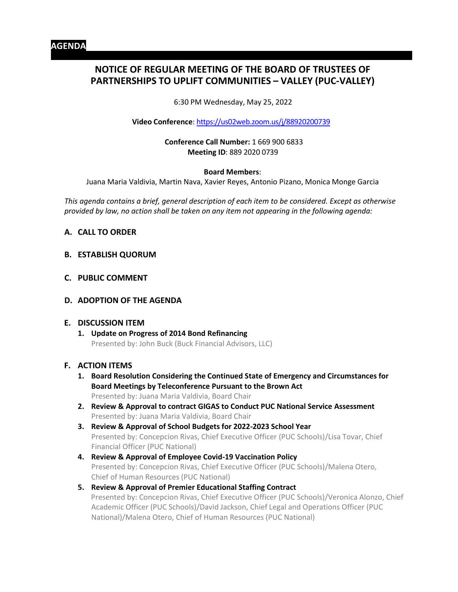# **NOTICE OF REGULAR MEETING OF THE BOARD OF TRUSTEES OF PARTNERSHIPS TO UPLIFT COMMUNITIES – VALLEY (PUC-VALLEY)**

6:30 PM Wednesday, May 25, 2022

**Video Conference**: <https://us02web.zoom.us/j/88920200739>

**Conference Call Number:** 1 669 900 6833 **Meeting ID**: 889 2020 0739

#### **Board Members**:

Juana Maria Valdivia, Martin Nava, Xavier Reyes, Antonio Pizano, Monica Monge Garcia

*This agenda contains a brief, general description of each item to be considered. Except as otherwise provided by law, no action shall be taken on any item not appearing in the following agenda:*

- **A. CALL TO ORDER**
- **B. ESTABLISH QUORUM**
- **C. PUBLIC COMMENT**
- **D. ADOPTION OF THE AGENDA**

### **E. DISCUSSION ITEM**

**1. Update on Progress of 2014 Bond Refinancing** Presented by: John Buck (Buck Financial Advisors, LLC)

### **F. ACTION ITEMS**

- **1. Board Resolution Considering the Continued State of Emergency and Circumstances for Board Meetings by Teleconference Pursuant to the Brown Act** Presented by: Juana Maria Valdivia, Board Chair
- **2. Review & Approval to contract GIGAS to Conduct PUC National Service Assessment** Presented by: Juana Maria Valdivia, Board Chair
- **3. Review & Approval of School Budgets for 2022-2023 School Year** Presented by: Concepcion Rivas, Chief Executive Officer (PUC Schools)/Lisa Tovar, Chief Financial Officer (PUC National)
- **4. Review & Approval of Employee Covid-19 Vaccination Policy** Presented by: Concepcion Rivas, Chief Executive Officer (PUC Schools)/Malena Otero, Chief of Human Resources (PUC National)
- **5. Review & Approval of Premier Educational Staffing Contract** Presented by: Concepcion Rivas, Chief Executive Officer (PUC Schools)/Veronica Alonzo, Chief Academic Officer (PUC Schools)/David Jackson, Chief Legal and Operations Officer (PUC National)/Malena Otero, Chief of Human Resources (PUC National)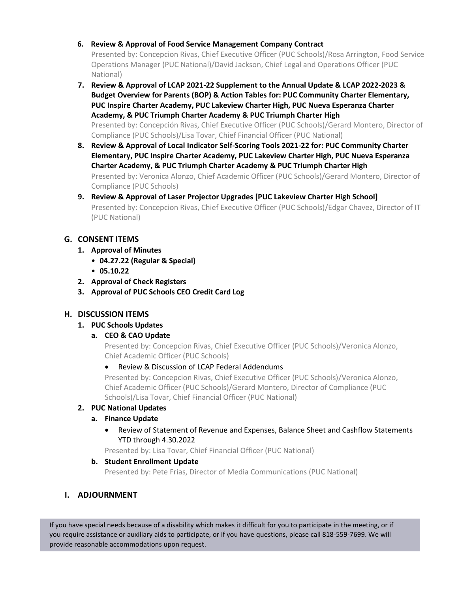### **6. Review & Approval of Food Service Management Company Contract**

Presented by: Concepcion Rivas, Chief Executive Officer (PUC Schools)/Rosa Arrington, Food Service Operations Manager (PUC National)/David Jackson, Chief Legal and Operations Officer (PUC National)

- **7. Review & Approval of LCAP 2021-22 Supplement to the Annual Update & LCAP 2022-2023 & Budget Overview for Parents (BOP) & Action Tables for: PUC Community Charter Elementary, PUC Inspire Charter Academy, PUC Lakeview Charter High, PUC Nueva Esperanza Charter Academy, & PUC Triumph Charter Academy & PUC Triumph Charter High** Presented by: Concepción Rivas, Chief Executive Officer (PUC Schools)/Gerard Montero, Director of Compliance (PUC Schools)/Lisa Tovar, Chief Financial Officer (PUC National)
- **8. Review & Approval of Local Indicator Self-Scoring Tools 2021-22 for: PUC Community Charter Elementary, PUC Inspire Charter Academy, PUC Lakeview Charter High, PUC Nueva Esperanza Charter Academy, & PUC Triumph Charter Academy & PUC Triumph Charter High** Presented by: Veronica Alonzo, Chief Academic Officer (PUC Schools)/Gerard Montero, Director of Compliance (PUC Schools)
- **9. Review & Approval of Laser Projector Upgrades [PUC Lakeview Charter High School]** Presented by: Concepcion Rivas, Chief Executive Officer (PUC Schools)/Edgar Chavez, Director of IT (PUC National)

### **G. CONSENT ITEMS**

- **1. Approval of Minutes**
	- **04.27.22 (Regular & Special)**
	- **05.10.22**
- **2. Approval of Check Registers**
- **3. Approval of PUC Schools CEO Credit Card Log**

### **H. DISCUSSION ITEMS**

### **1. PUC Schools Updates**

# **a. CEO & CAO Update**

Presented by: Concepcion Rivas, Chief Executive Officer (PUC Schools)/Veronica Alonzo, Chief Academic Officer (PUC Schools)

### • Review & Discussion of LCAP Federal Addendums

Presented by: Concepcion Rivas, Chief Executive Officer (PUC Schools)/Veronica Alonzo, Chief Academic Officer (PUC Schools)/Gerard Montero, Director of Compliance (PUC Schools)/Lisa Tovar, Chief Financial Officer (PUC National)

### **2. PUC National Updates**

### **a. Finance Update**

• Review of Statement of Revenue and Expenses, Balance Sheet and Cashflow Statements YTD through 4.30.2022

Presented by: Lisa Tovar, Chief Financial Officer (PUC National)

### **b. Student Enrollment Update**

Presented by: Pete Frias, Director of Media Communications (PUC National)

### **I. ADJOURNMENT**

If you have special needs because of a disability which makes it difficult for you to participate in the meeting, or if you require assistance or auxiliary aids to participate, or if you have questions, please call 818-559-7699. We will provide reasonable accommodations upon request.